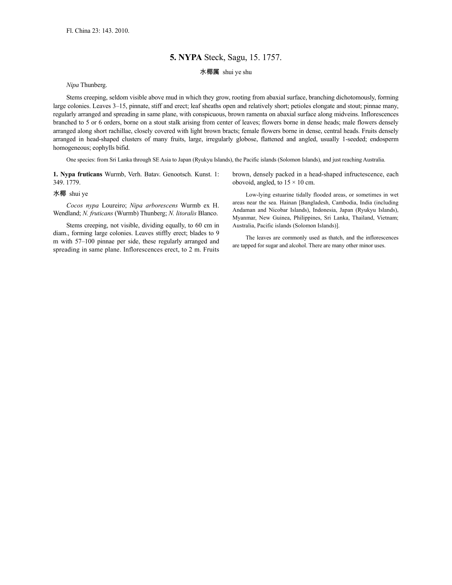## **5. NYPA** Steck, Sagu, 15. 1757.

水椰属 shui ye shu

*Nipa* Thunberg.

Stems creeping, seldom visible above mud in which they grow, rooting from abaxial surface, branching dichotomously, forming large colonies. Leaves 3–15, pinnate, stiff and erect; leaf sheaths open and relatively short; petioles elongate and stout; pinnae many, regularly arranged and spreading in same plane, with conspicuous, brown ramenta on abaxial surface along midveins. Inflorescences branched to 5 or 6 orders, borne on a stout stalk arising from center of leaves; flowers borne in dense heads; male flowers densely arranged along short rachillae, closely covered with light brown bracts; female flowers borne in dense, central heads. Fruits densely arranged in head-shaped clusters of many fruits, large, irregularly globose, flattened and angled, usually 1-seeded; endosperm homogeneous; eophylls bifid.

One species: from Sri Lanka through SE Asia to Japan (Ryukyu Islands), the Pacific islands (Solomon Islands), and just reaching Australia.

**1. Nypa fruticans** Wurmb, Verh. Batav. Genootsch. Kunst. 1: 349. 1779.

## 水椰 shui ye

*Cocos nypa* Loureiro; *Nipa arborescens* Wurmb ex H. Wendland; *N. fruticans* (Wurmb) Thunberg; *N. litoralis* Blanco.

Stems creeping, not visible, dividing equally, to 60 cm in diam., forming large colonies. Leaves stiffly erect; blades to 9 m with 57–100 pinnae per side, these regularly arranged and spreading in same plane. Inflorescences erect, to 2 m. Fruits

brown, densely packed in a head-shaped infructescence, each obovoid, angled, to  $15 \times 10$  cm.

Low-lying estuarine tidally flooded areas, or sometimes in wet areas near the sea. Hainan [Bangladesh, Cambodia, India (including Andaman and Nicobar Islands), Indonesia, Japan (Ryukyu Islands), Myanmar, New Guinea, Philippines, Sri Lanka, Thailand, Vietnam; Australia, Pacific islands (Solomon Islands)].

The leaves are commonly used as thatch, and the inflorescences are tapped for sugar and alcohol. There are many other minor uses.